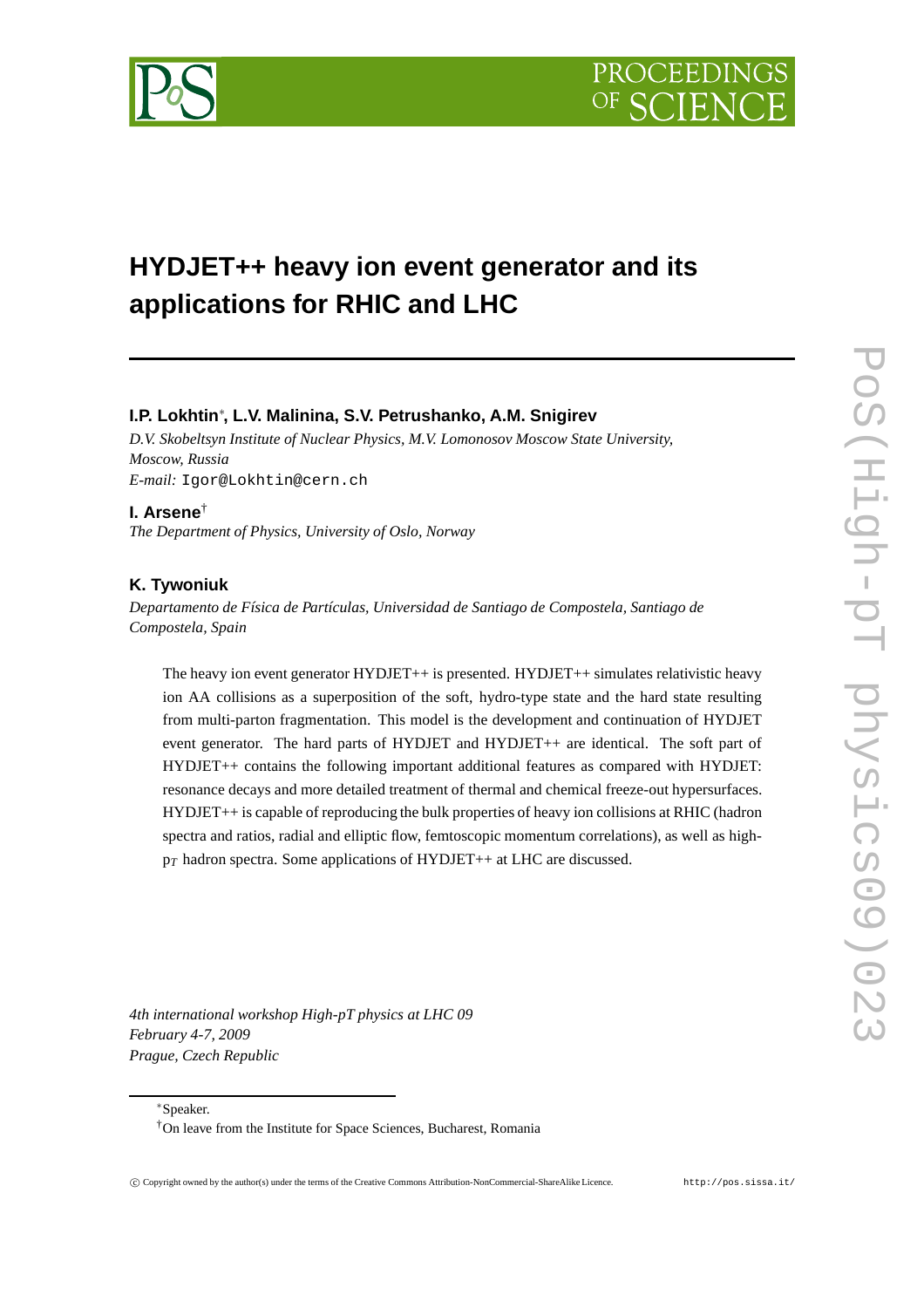PROCEEDIN



# **HYDJET++ heavy ion event generator and its applications for RHIC and LHC**

# **I.P. Lokhtin**∗ **, L.V. Malinina, S.V. Petrushanko, A.M. Snigirev**

*D.V. Skobeltsyn Institute of Nuclear Physics, M.V. Lomonosov Moscow State University, Moscow, Russia E-mail:* Igor@Lokhtin@cern.ch

## **I. Arsene**†

*The Department of Physics, University of Oslo, Norway*

# **K. Tywoniuk**

*Departamento de Física de Partículas, Universidad de Santiago de Compostela, Santiago de Compostela, Spain*

The heavy ion event generator HYDJET++ is presented. HYDJET++ simulates relativistic heavy ion AA collisions as a superposition of the soft, hydro-type state and the hard state resulting from multi-parton fragmentation. This model is the development and continuation of HYDJET event generator. The hard parts of HYDJET and HYDJET++ are identical. The soft part of HYDJET++ contains the following important additional features as compared with HYDJET: resonance decays and more detailed treatment of thermal and chemical freeze-out hypersurfaces. HYDJET++ is capable of reproducing the bulk properties of heavy ion collisions at RHIC (hadron spectra and ratios, radial and elliptic flow, femtoscopic momentum correlations), as well as high $p_T$  hadron spectra. Some applications of HYDJET++ at LHC are discussed.

*4th international workshop High-pT physics at LHC 09 February 4-7, 2009 Prague, Czech Republic*

∗Speaker.

<sup>†</sup>On leave from the Institute for Space Sciences, Bucharest, Romania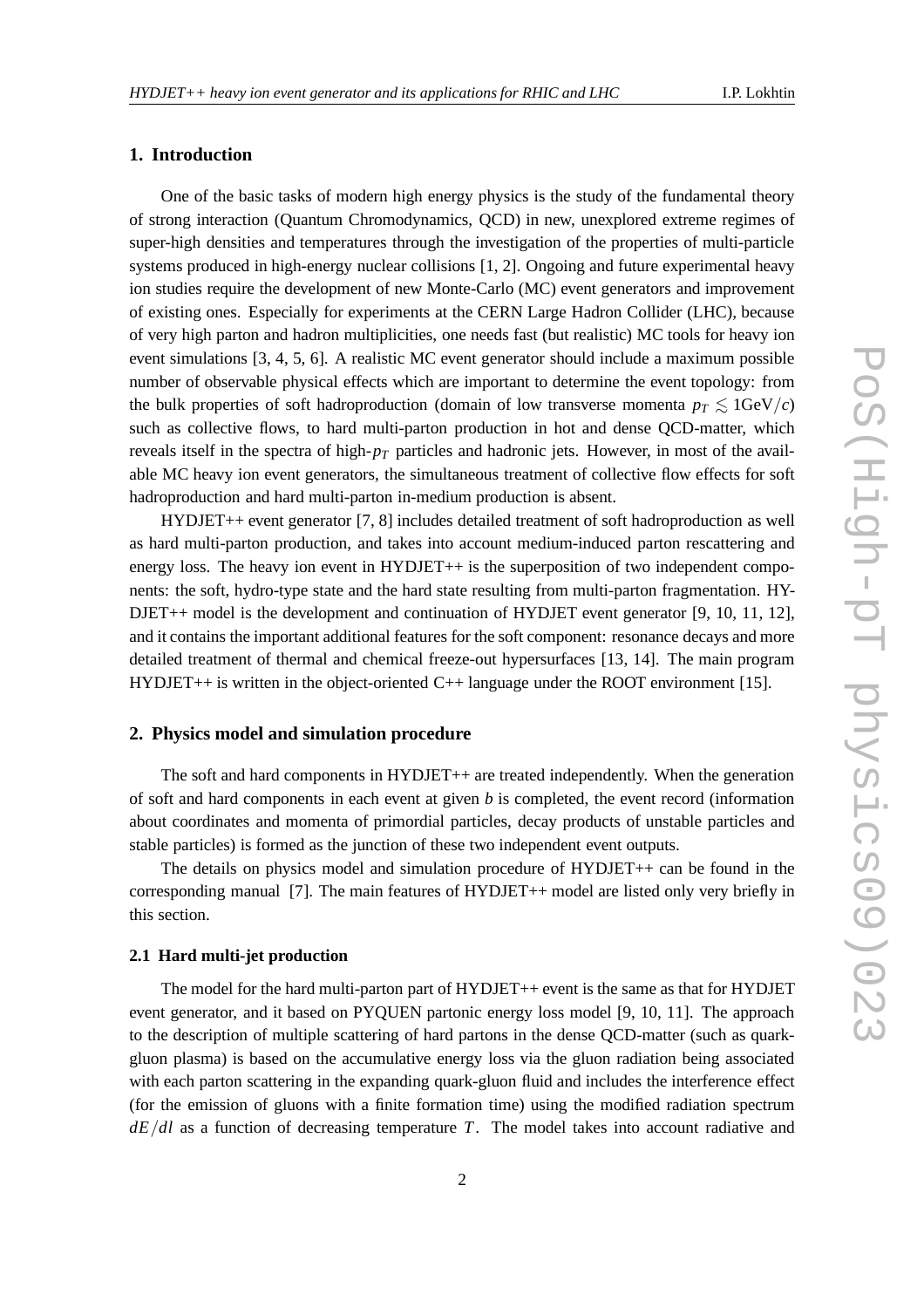# **1. Introduction**

One of the basic tasks of modern high energy physics is the study of the fundamental theory of strong interaction (Quantum Chromodynamics, QCD) in new, unexplored extreme regimes of super-high densities and temperatures through the investigation of the properties of multi-particle systems produced in high-energy nuclear collisions [1, 2]. Ongoing and future experimental heavy ion studies require the development of new Monte-Carlo (MC) event generators and improvement of existing ones. Especially for experiments at the CERN Large Hadron Collider (LHC), because of very high parton and hadron multiplicities, one needs fast (but realistic) MC tools for heavy ion event simulations [3, 4, 5, 6]. A realistic MC event generator should include a maximum possible number of observable physical effects which are important to determine the event topology: from the bulk properties of soft hadroproduction (domain of low transverse momenta  $p_T \leq 1$ GeV/*c*) such as collective flows, to hard multi-parton production in hot and dense QCD-matter, which reveals itself in the spectra of high- $p<sub>T</sub>$  particles and hadronic jets. However, in most of the available MC heavy ion event generators, the simultaneous treatment of collective flow effects for soft hadroproduction and hard multi-parton in-medium production is absent.

HYDJET++ event generator [7, 8] includes detailed treatment of soft hadroproduction as well as hard multi-parton production, and takes into account medium-induced parton rescattering and energy loss. The heavy ion event in HYDJET++ is the superposition of two independent components: the soft, hydro-type state and the hard state resulting from multi-parton fragmentation. HY-DJET++ model is the development and continuation of HYDJET event generator [9, 10, 11, 12], and it contains the important additional features for the soft component: resonance decays and more detailed treatment of thermal and chemical freeze-out hypersurfaces [13, 14]. The main program HYDJET++ is written in the object-oriented  $C_{++}$  language under the ROOT environment [15].

#### **2. Physics model and simulation procedure**

The soft and hard components in HYDJET++ are treated independently. When the generation of soft and hard components in each event at given *b* is completed, the event record (information about coordinates and momenta of primordial particles, decay products of unstable particles and stable particles) is formed as the junction of these two independent event outputs.

The details on physics model and simulation procedure of HYDJET++ can be found in the corresponding manual [7]. The main features of HYDJET++ model are listed only very briefly in this section.

### **2.1 Hard multi-jet production**

The model for the hard multi-parton part of HYDJET++ event is the same as that for HYDJET event generator, and it based on PYQUEN partonic energy loss model [9, 10, 11]. The approach to the description of multiple scattering of hard partons in the dense QCD-matter (such as quarkgluon plasma) is based on the accumulative energy loss via the gluon radiation being associated with each parton scattering in the expanding quark-gluon fluid and includes the interference effect (for the emission of gluons with a finite formation time) using the modified radiation spectrum *dE*/*dl* as a function of decreasing temperature *T*. The model takes into account radiative and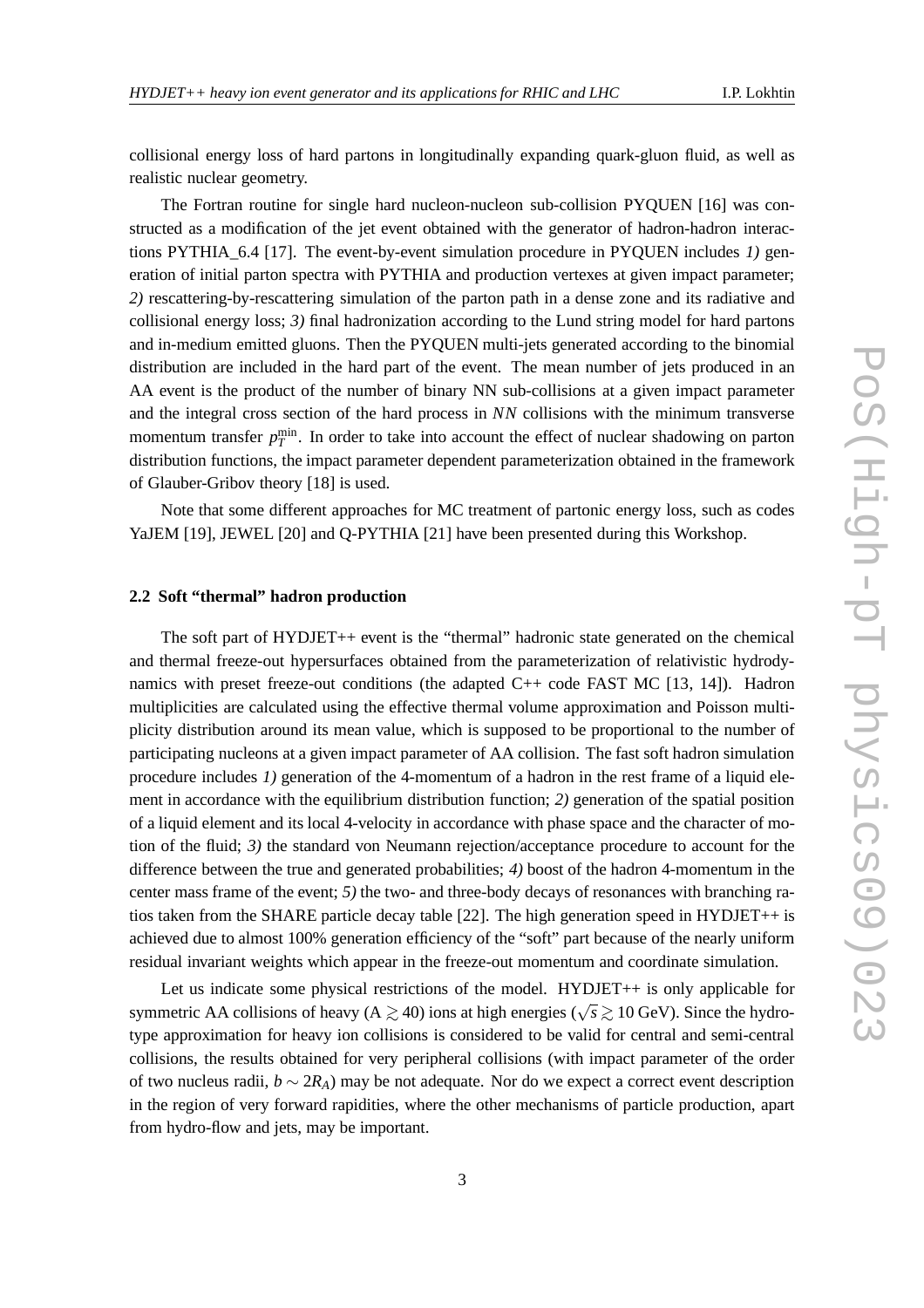collisional energy loss of hard partons in longitudinally expanding quark-gluon fluid, as well as realistic nuclear geometry.

The Fortran routine for single hard nucleon-nucleon sub-collision PYQUEN [16] was constructed as a modification of the jet event obtained with the generator of hadron-hadron interactions PYTHIA\_6.4 [17]. The event-by-event simulation procedure in PYQUEN includes *1)* generation of initial parton spectra with PYTHIA and production vertexes at given impact parameter; *2)* rescattering-by-rescattering simulation of the parton path in a dense zone and its radiative and collisional energy loss; *3)* final hadronization according to the Lund string model for hard partons and in-medium emitted gluons. Then the PYQUEN multi-jets generated according to the binomial distribution are included in the hard part of the event. The mean number of jets produced in an AA event is the product of the number of binary NN sub-collisions at a given impact parameter and the integral cross section of the hard process in *NN* collisions with the minimum transverse momentum transfer  $p_T^{\text{min}}$ . In order to take into account the effect of nuclear shadowing on parton distribution functions, the impact parameter dependent parameterization obtained in the framework of Glauber-Gribov theory [18] is used.

Note that some different approaches for MC treatment of partonic energy loss, such as codes YaJEM [19], JEWEL [20] and Q-PYTHIA [21] have been presented during this Workshop.

#### **2.2 Soft "thermal" hadron production**

The soft part of HYDJET++ event is the "thermal" hadronic state generated on the chemical and thermal freeze-out hypersurfaces obtained from the parameterization of relativistic hydrodynamics with preset freeze-out conditions (the adapted C++ code FAST MC [13, 14]). Hadron multiplicities are calculated using the effective thermal volume approximation and Poisson multiplicity distribution around its mean value, which is supposed to be proportional to the number of participating nucleons at a given impact parameter of AA collision. The fast soft hadron simulation procedure includes *1)* generation of the 4-momentum of a hadron in the rest frame of a liquid element in accordance with the equilibrium distribution function; *2)* generation of the spatial position of a liquid element and its local 4-velocity in accordance with phase space and the character of motion of the fluid; *3)* the standard von Neumann rejection/acceptance procedure to account for the difference between the true and generated probabilities; *4)* boost of the hadron 4-momentum in the center mass frame of the event; *5)* the two- and three-body decays of resonances with branching ratios taken from the SHARE particle decay table [22]. The high generation speed in HYDJET++ is achieved due to almost 100% generation efficiency of the "soft" part because of the nearly uniform residual invariant weights which appear in the freeze-out momentum and coordinate simulation.

Let us indicate some physical restrictions of the model. HYDJET++ is only applicable for symmetric AA collisions of heavy (A  $\geq$  40) ions at high energies ( $\sqrt{s}$  ≥ 10 GeV). Since the hydrotype approximation for heavy ion collisions is considered to be valid for central and semi-central collisions, the results obtained for very peripheral collisions (with impact parameter of the order of two nucleus radii, *b* ∼ 2*RA*) may be not adequate. Nor do we expect a correct event description in the region of very forward rapidities, where the other mechanisms of particle production, apart from hydro-flow and jets, may be important.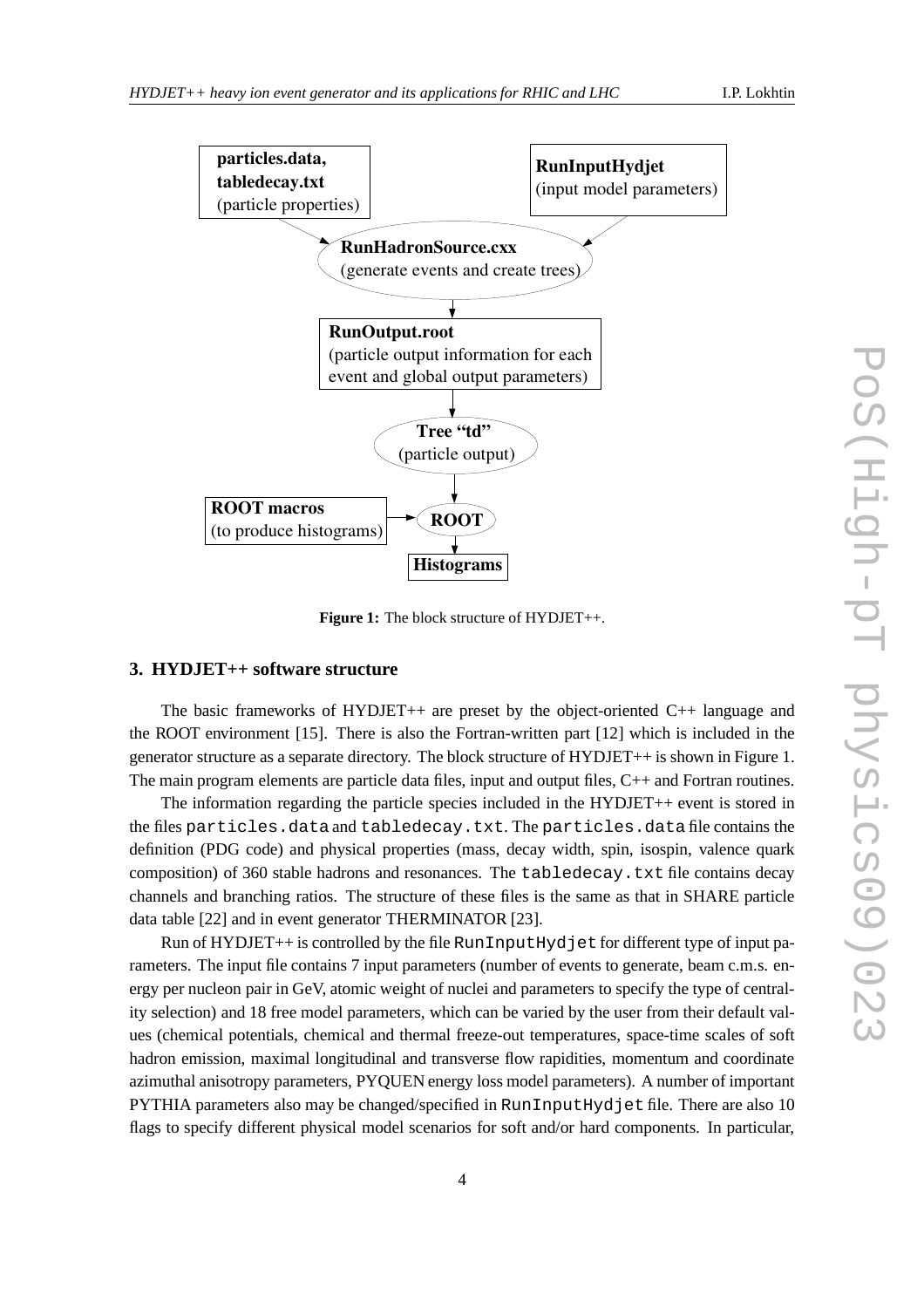

**Figure 1:** The block structure of HYDJET++.

# **3. HYDJET++ software structure**

The basic frameworks of  $HYDJET++$  are preset by the object-oriented  $C++$  language and the ROOT environment [15]. There is also the Fortran-written part [12] which is included in the generator structure as a separate directory. The block structure of HYDJET++ is shown in Figure 1. The main program elements are particle data files, input and output files, C++ and Fortran routines.

The information regarding the particle species included in the HYDJET++ event is stored in the files particles.data and tabledecay.txt. The particles.data file contains the definition (PDG code) and physical properties (mass, decay width, spin, isospin, valence quark composition) of 360 stable hadrons and resonances. The tabledecay.txt file contains decay channels and branching ratios. The structure of these files is the same as that in SHARE particle data table [22] and in event generator THERMINATOR [23].

Run of HYDJET++ is controlled by the file RunInputHydjet for different type of input parameters. The input file contains 7 input parameters (number of events to generate, beam c.m.s. energy per nucleon pair in GeV, atomic weight of nuclei and parameters to specify the type of centrality selection) and 18 free model parameters, which can be varied by the user from their default values (chemical potentials, chemical and thermal freeze-out temperatures, space-time scales of soft hadron emission, maximal longitudinal and transverse flow rapidities, momentum and coordinate azimuthal anisotropy parameters, PYQUEN energy loss model parameters). A number of important PYTHIA parameters also may be changed/specified in RunInputHydjet file. There are also 10 flags to specify different physical model scenarios for soft and/or hard components. In particular,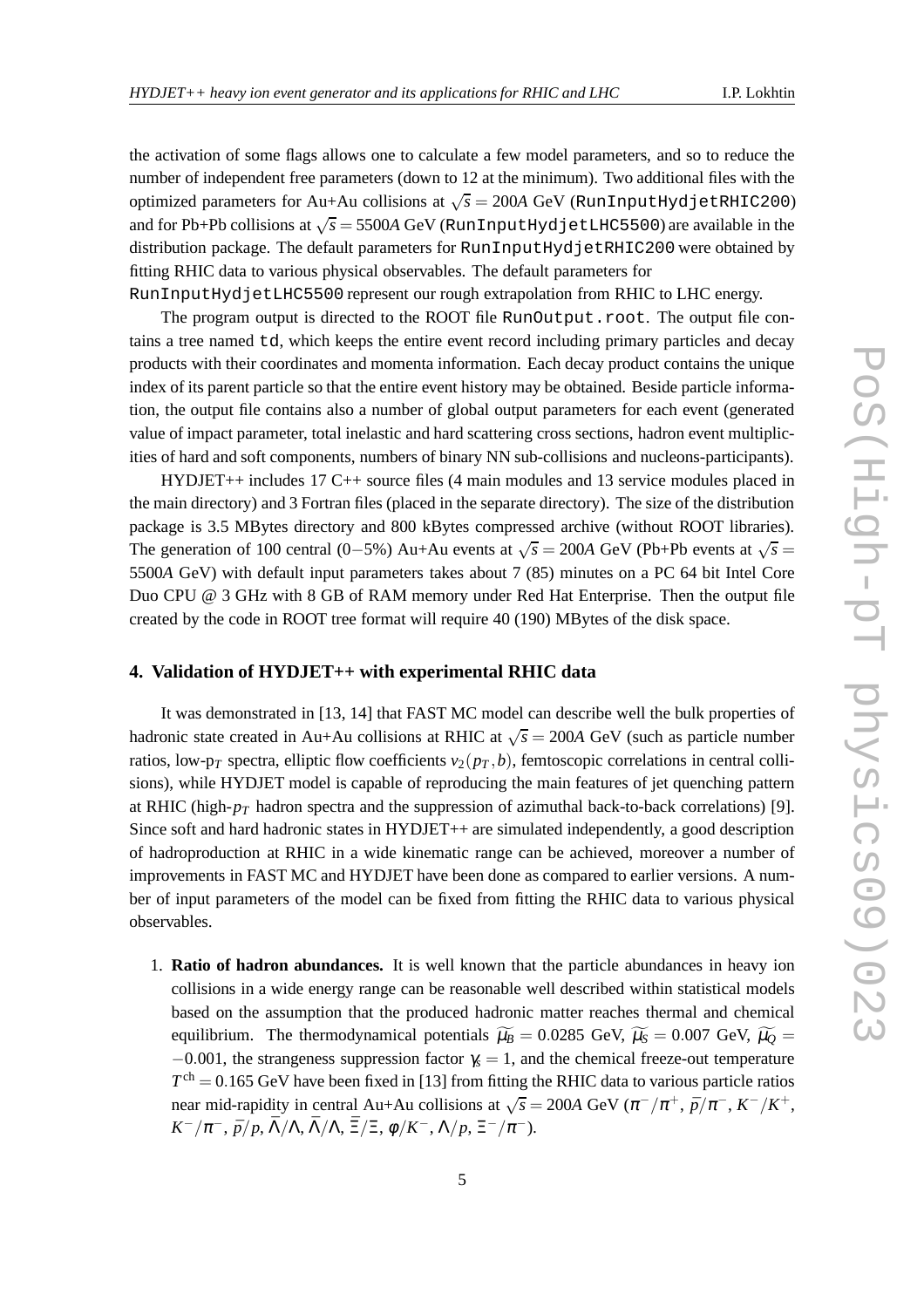the activation of some flags allows one to calculate a few model parameters, and so to reduce the number of independent free parameters (down to 12 at the minimum). Two additional files with the optimized parameters for Au+Au collisions at  $\sqrt{s} = 200A$  GeV (RunInputHydjetRHIC200) and for Pb+Pb collisions at  $\sqrt{s}$  = 5500A GeV (RunInputHydjetLHC5500) are available in the distribution package. The default parameters for RunInputHydjetRHIC200 were obtained by fitting RHIC data to various physical observables. The default parameters for

RunInputHydjetLHC5500 represent our rough extrapolation from RHIC to LHC energy.

The program output is directed to the ROOT file RunOutput.root. The output file contains a tree named td, which keeps the entire event record including primary particles and decay products with their coordinates and momenta information. Each decay product contains the unique index of its parent particle so that the entire event history may be obtained. Beside particle information, the output file contains also a number of global output parameters for each event (generated value of impact parameter, total inelastic and hard scattering cross sections, hadron event multiplicities of hard and soft components, numbers of binary NN sub-collisions and nucleons-participants).

HYDJET++ includes 17 C++ source files (4 main modules and 13 service modules placed in the main directory) and 3 Fortran files (placed in the separate directory). The size of the distribution package is 3.5 MBytes directory and 800 kBytes compressed archive (without ROOT libraries). The generation of 100 central (0–5%) Au+Au events at  $\sqrt{s}$  = 200A GeV (Pb+Pb events at  $\sqrt{s}$  = 5500*A* GeV) with default input parameters takes about 7 (85) minutes on a PC 64 bit Intel Core Duo CPU @ 3 GHz with 8 GB of RAM memory under Red Hat Enterprise. Then the output file created by the code in ROOT tree format will require 40 (190) MBytes of the disk space.

## **4. Validation of HYDJET++ with experimental RHIC data**

It was demonstrated in [13, 14] that FAST MC model can describe well the bulk properties of hadronic state created in Au+Au collisions at RHIC at  $\sqrt{s} = 200A$  GeV (such as particle number ratios, low-p<sub>*T*</sub> spectra, elliptic flow coefficients  $v_2(p_T, b)$ , femtoscopic correlations in central collisions), while HYDJET model is capable of reproducing the main features of jet quenching pattern at RHIC (high- $p_T$  hadron spectra and the suppression of azimuthal back-to-back correlations) [9]. Since soft and hard hadronic states in HYDJET++ are simulated independently, a good description of hadroproduction at RHIC in a wide kinematic range can be achieved, moreover a number of improvements in FAST MC and HYDJET have been done as compared to earlier versions. A number of input parameters of the model can be fixed from fitting the RHIC data to various physical observables.

1. **Ratio of hadron abundances.** It is well known that the particle abundances in heavy ion collisions in a wide energy range can be reasonable well described within statistical models based on the assumption that the produced hadronic matter reaches thermal and chemical equilibrium. The thermodynamical potentials  $\widetilde{\mu}_B = 0.0285$  GeV,  $\widetilde{\mu}_S = 0.007$  GeV,  $\widetilde{\mu}_O =$  $-0.001$ , the strangeness suppression factor  $\gamma_s = 1$ , and the chemical freeze-out temperature  $T<sup>ch</sup> = 0.165$  GeV have been fixed in [13] from fitting the RHIC data to various particle ratios near mid-rapidity in central Au+Au collisions at  $\sqrt{s} = 200A$  GeV  $(\pi^{-}/\pi^{+}, \bar{p}/\pi^{-}, K^{-}/K^{+},$ *K*<sup>-</sup>/ $\pi$ <sup>-</sup>,  $\bar{p}/p$ ,  $\bar{\Lambda}/\Lambda$ ,  $\bar{\Lambda}/\Lambda$ ,  $\bar{\Xi}/\Xi$ ,  $\phi/K$ <sup>-</sup>,  $\Lambda/p$ ,  $\Xi^-/\pi^-$ ).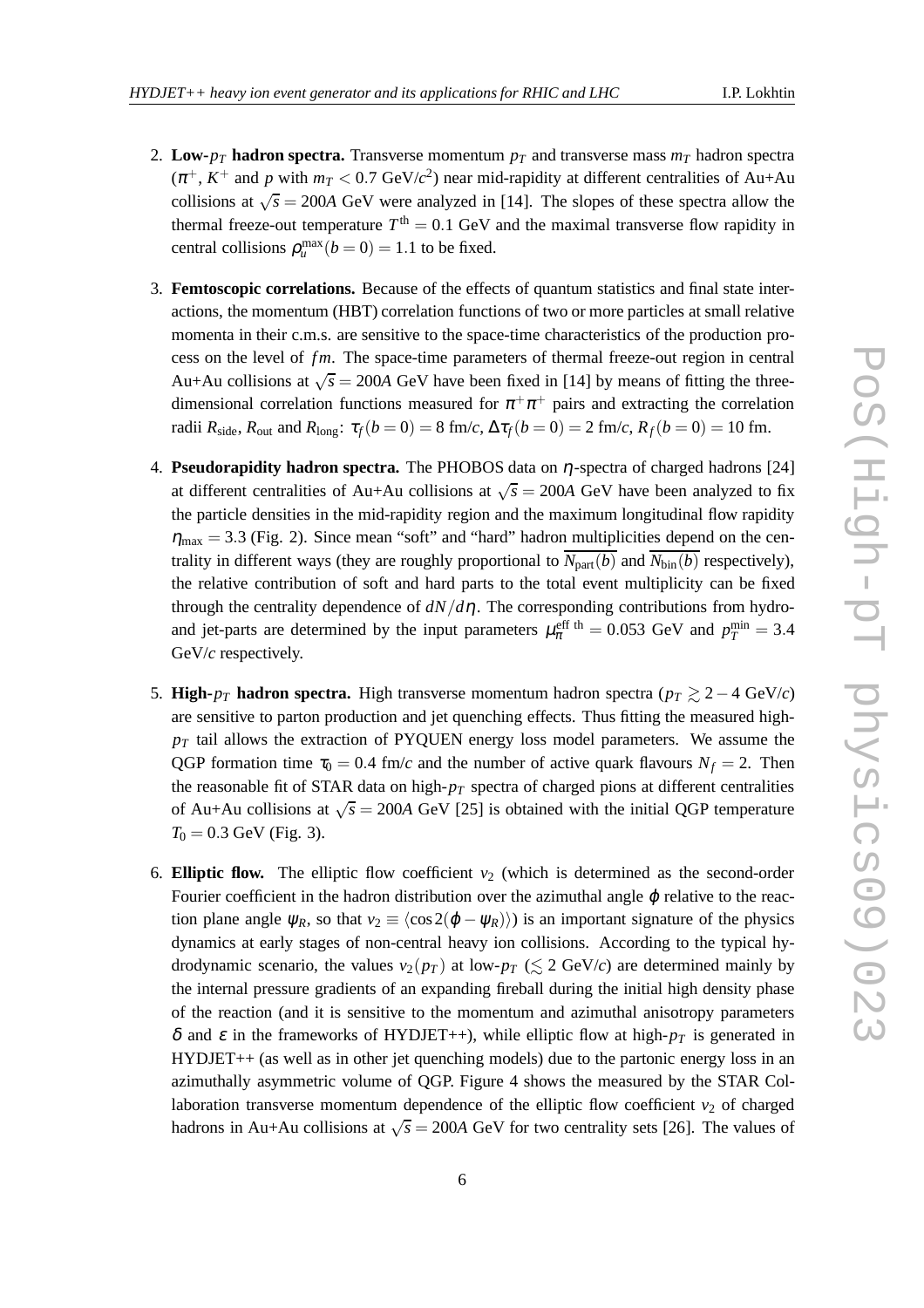- 
- 2. **Low-** $p_T$  **hadron spectra.** Transverse momentum  $p_T$  and transverse mass  $m_T$  hadron spectra  $(\pi^+, K^+$  and *p* with  $m_T < 0.7$  GeV/ $c^2$ ) near mid-rapidity at different centralities of Au+Au collisions at  $\sqrt{s} = 200A$  GeV were analyzed in [14]. The slopes of these spectra allow the thermal freeze-out temperature  $T<sup>th</sup> = 0.1$  GeV and the maximal transverse flow rapidity in central collisions  $\rho_u^{\max}(b=0) = 1.1$  to be fixed.
- 3. **Femtoscopic correlations.** Because of the effects of quantum statistics and final state interactions, the momentum (HBT) correlation functions of two or more particles at small relative momenta in their c.m.s. are sensitive to the space-time characteristics of the production process on the level of *fm*. The space-time parameters of thermal freeze-out region in central Au+Au collisions at  $\sqrt{s} = 200A$  GeV have been fixed in [14] by means of fitting the threedimensional correlation functions measured for  $\pi^+\pi^+$  pairs and extracting the correlation radii  $R_{\text{side}}$ ,  $R_{\text{out}}$  and  $R_{\text{long}}$ :  $\tau_f(b=0) = 8$  fm/*c*,  $\Delta \tau_f(b=0) = 2$  fm/*c*,  $R_f(b=0) = 10$  fm.
- 4. **Pseudorapidity hadron spectra.** The PHOBOS data on η-spectra of charged hadrons [24] at different centralities of Au+Au collisions at  $\sqrt{s} = 200A$  GeV have been analyzed to fix the particle densities in the mid-rapidity region and the maximum longitudinal flow rapidity  $\eta_{\text{max}} = 3.3$  (Fig. 2). Since mean "soft" and "hard" hadron multiplicities depend on the centrality in different ways (they are roughly proportional to  $N_{part}(b)$  and  $N_{bin}(b)$  respectively), the relative contribution of soft and hard parts to the total event multiplicity can be fixed through the centrality dependence of  $dN/d\eta$ . The corresponding contributions from hydroand jet-parts are determined by the input parameters  $\mu_{\pi}^{\text{eff th}} = 0.053$  GeV and  $p_T^{\text{min}} = 3.4$ GeV/*c* respectively.
- 5. **High-** $p_T$  **hadron spectra.** High transverse momentum hadron spectra ( $p_T \ge 2 4$  GeV/*c*) are sensitive to parton production and jet quenching effects. Thus fitting the measured high $p_T$  tail allows the extraction of PYQUEN energy loss model parameters. We assume the QGP formation time  $\tau_0 = 0.4$  fm/*c* and the number of active quark flavours  $N_f = 2$ . Then the reasonable fit of STAR data on high-*p<sup>T</sup>* spectra of charged pions at different centralities of Au+Au collisions at  $\sqrt{s} = 200A$  GeV [25] is obtained with the initial QGP temperature  $T_0 = 0.3$  GeV (Fig. 3).
- 6. **Elliptic flow.** The elliptic flow coefficient  $v_2$  (which is determined as the second-order Fourier coefficient in the hadron distribution over the azimuthal angle  $\varphi$  relative to the reaction plane angle  $\psi_R$ , so that  $v_2 \equiv \langle \cos 2(\phi - \psi_R) \rangle$  is an important signature of the physics dynamics at early stages of non-central heavy ion collisions. According to the typical hydrodynamic scenario, the values  $v_2(p_T)$  at low- $p_T \leq 2 \text{ GeV}/c$  are determined mainly by the internal pressure gradients of an expanding fireball during the initial high density phase of the reaction (and it is sensitive to the momentum and azimuthal anisotropy parameters δ and ε in the frameworks of HYDJET++), while elliptic flow at high- $p_T$  is generated in HYDJET++ (as well as in other jet quenching models) due to the partonic energy loss in an azimuthally asymmetric volume of QGP. Figure 4 shows the measured by the STAR Collaboration transverse momentum dependence of the elliptic flow coefficient  $v<sub>2</sub>$  of charged hadrons in Au+Au collisions at  $\sqrt{s} = 200A$  GeV for two centrality sets [26]. The values of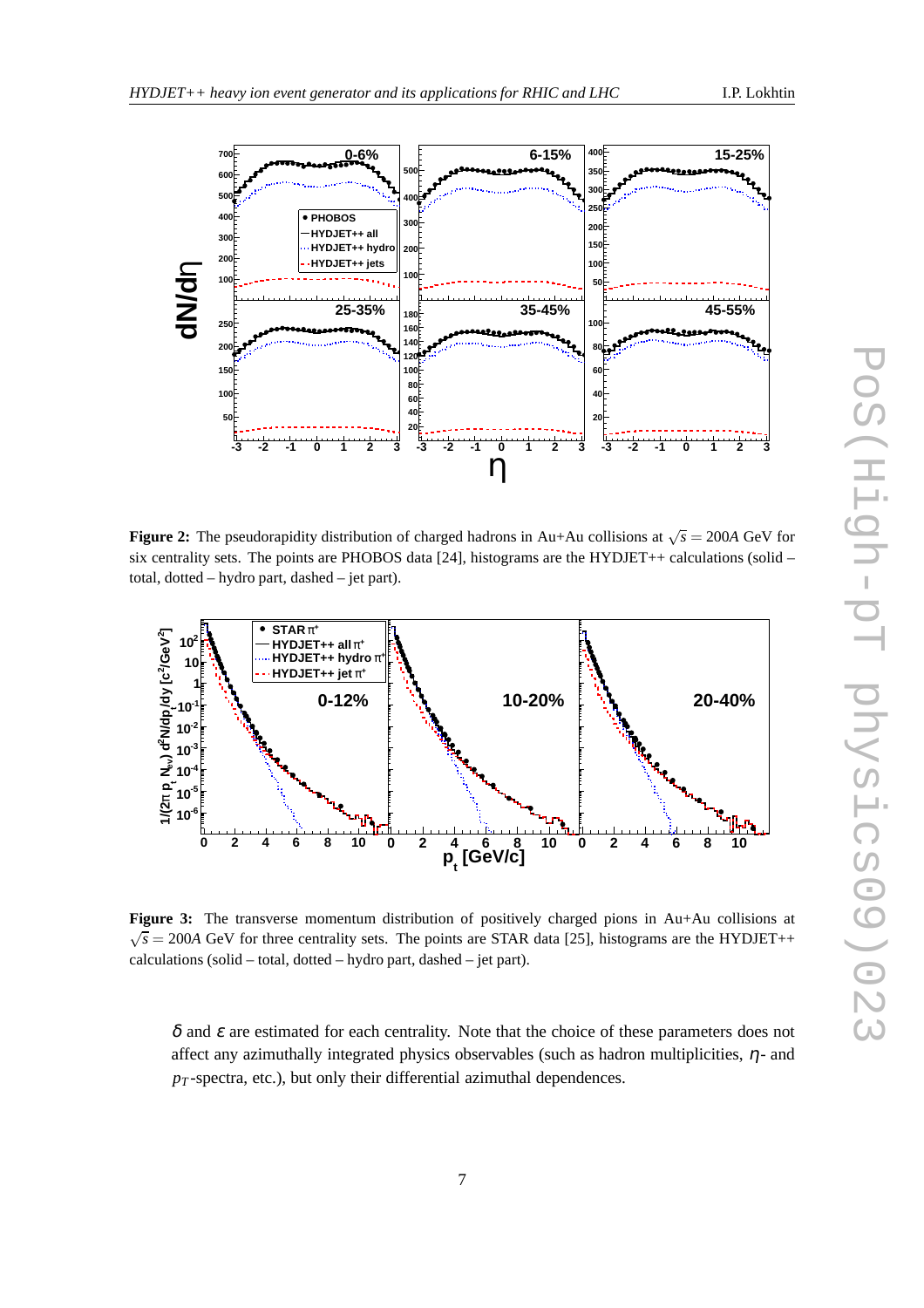

**Figure 2:** The pseudorapidity distribution of charged hadrons in Au+Au collisions at  $\sqrt{s} = 200A$  GeV for six centrality sets. The points are PHOBOS data [24], histograms are the HYDJET++ calculations (solid – total, dotted – hydro part, dashed – jet part).



**Figure 3:** The transverse momentum distribution of positively charged pions in Au+Au collisions at  $\sqrt{s}$  = 200*A* GeV for three centrality sets. The points are STAR data [25], histograms are the HYDJET++ calculations (solid – total, dotted – hydro part, dashed – jet part).

 $\delta$  and  $\varepsilon$  are estimated for each centrality. Note that the choice of these parameters does not affect any azimuthally integrated physics observables (such as hadron multiplicities,  $\eta$ - and  $p_T$ -spectra, etc.), but only their differential azimuthal dependences.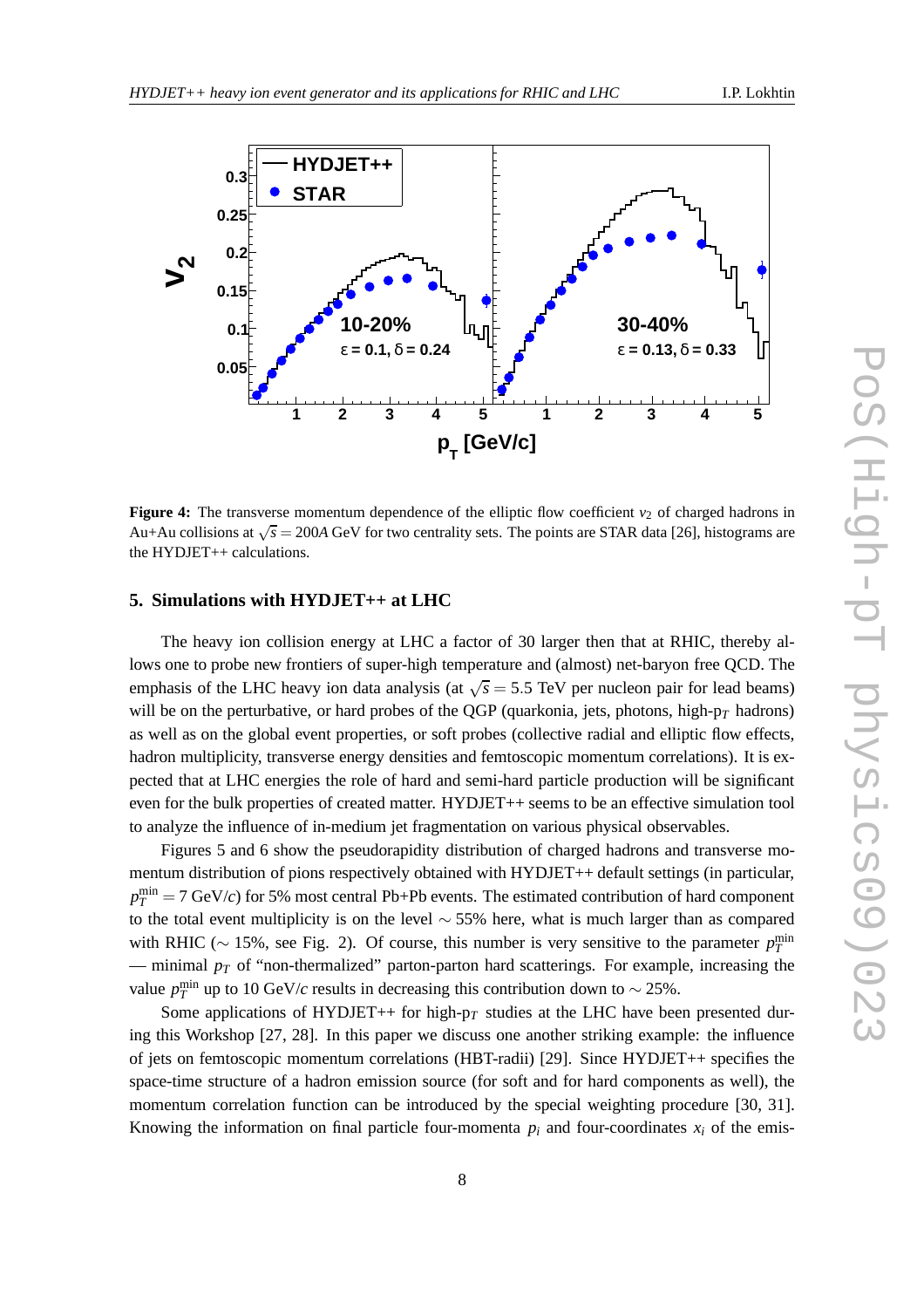

**Figure 4:** The transverse momentum dependence of the elliptic flow coefficient  $v_2$  of charged hadrons in Au+Au collisions at  $\sqrt{s}$  = 200A GeV for two centrality sets. The points are STAR data [26], histograms are the HYDJET++ calculations.

#### **5. Simulations with HYDJET++ at LHC**

The heavy ion collision energy at LHC a factor of 30 larger then that at RHIC, thereby allows one to probe new frontiers of super-high temperature and (almost) net-baryon free QCD. The emphasis of the LHC heavy ion data analysis (at  $\sqrt{s}$  = 5.5 TeV per nucleon pair for lead beams) will be on the perturbative, or hard probes of the QGP (quarkonia, jets, photons, high-p*<sup>T</sup>* hadrons) as well as on the global event properties, or soft probes (collective radial and elliptic flow effects, hadron multiplicity, transverse energy densities and femtoscopic momentum correlations). It is expected that at LHC energies the role of hard and semi-hard particle production will be significant even for the bulk properties of created matter. HYDJET++ seems to be an effective simulation tool to analyze the influence of in-medium jet fragmentation on various physical observables.

Figures 5 and 6 show the pseudorapidity distribution of charged hadrons and transverse momentum distribution of pions respectively obtained with HYDJET++ default settings (in particular,  $p_T^{\text{min}} = 7$  GeV/*c*) for 5% most central Pb+Pb events. The estimated contribution of hard component to the total event multiplicity is on the level  $\sim$  55% here, what is much larger than as compared with RHIC ( $\sim$  15%, see Fig. 2). Of course, this number is very sensitive to the parameter  $p_T^{\text{min}}$ — minimal  $p_T$  of "non-thermalized" parton-parton hard scatterings. For example, increasing the value  $p_T^{\text{min}}$  up to 10 GeV/*c* results in decreasing this contribution down to ~ 25%.

Some applications of HYDJET++ for high- $p_T$  studies at the LHC have been presented during this Workshop [27, 28]. In this paper we discuss one another striking example: the influence of jets on femtoscopic momentum correlations (HBT-radii) [29]. Since HYDJET++ specifies the space-time structure of a hadron emission source (for soft and for hard components as well), the momentum correlation function can be introduced by the special weighting procedure [30, 31]. Knowing the information on final particle four-momenta  $p_i$  and four-coordinates  $x_i$  of the emis-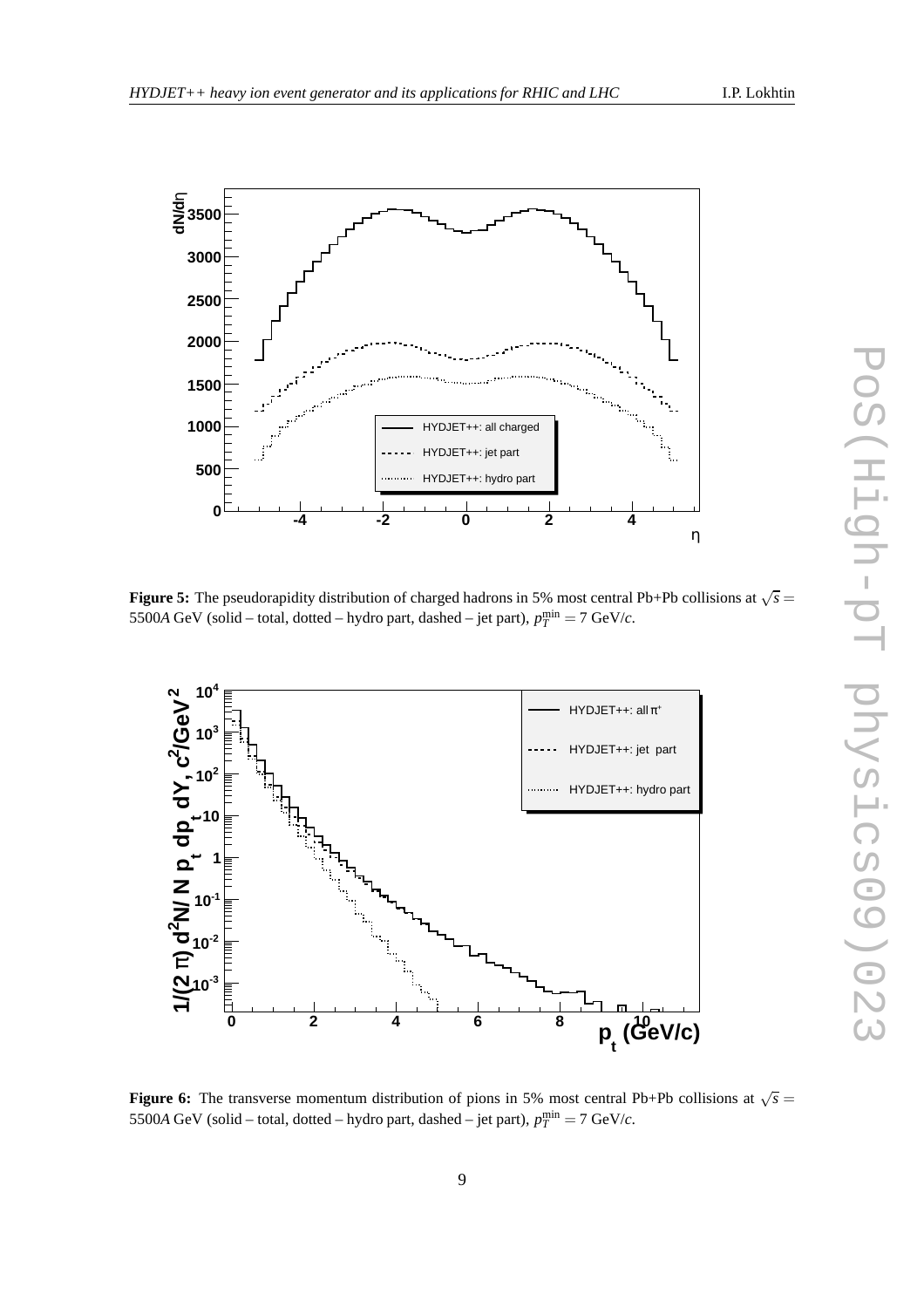

**Figure 5:** The pseudorapidity distribution of charged hadrons in 5% most central Pb+Pb collisions at  $\sqrt{s}$  = 5500*A* GeV (solid – total, dotted – hydro part, dashed – jet part),  $p_T^{\text{min}} = 7$  GeV/*c*.



**Figure 6:** The transverse momentum distribution of pions in 5% most central Pb+Pb collisions at  $\sqrt{s}$  = 5500*A* GeV (solid – total, dotted – hydro part, dashed – jet part),  $p_T^{\text{min}} = 7$  GeV/*c*.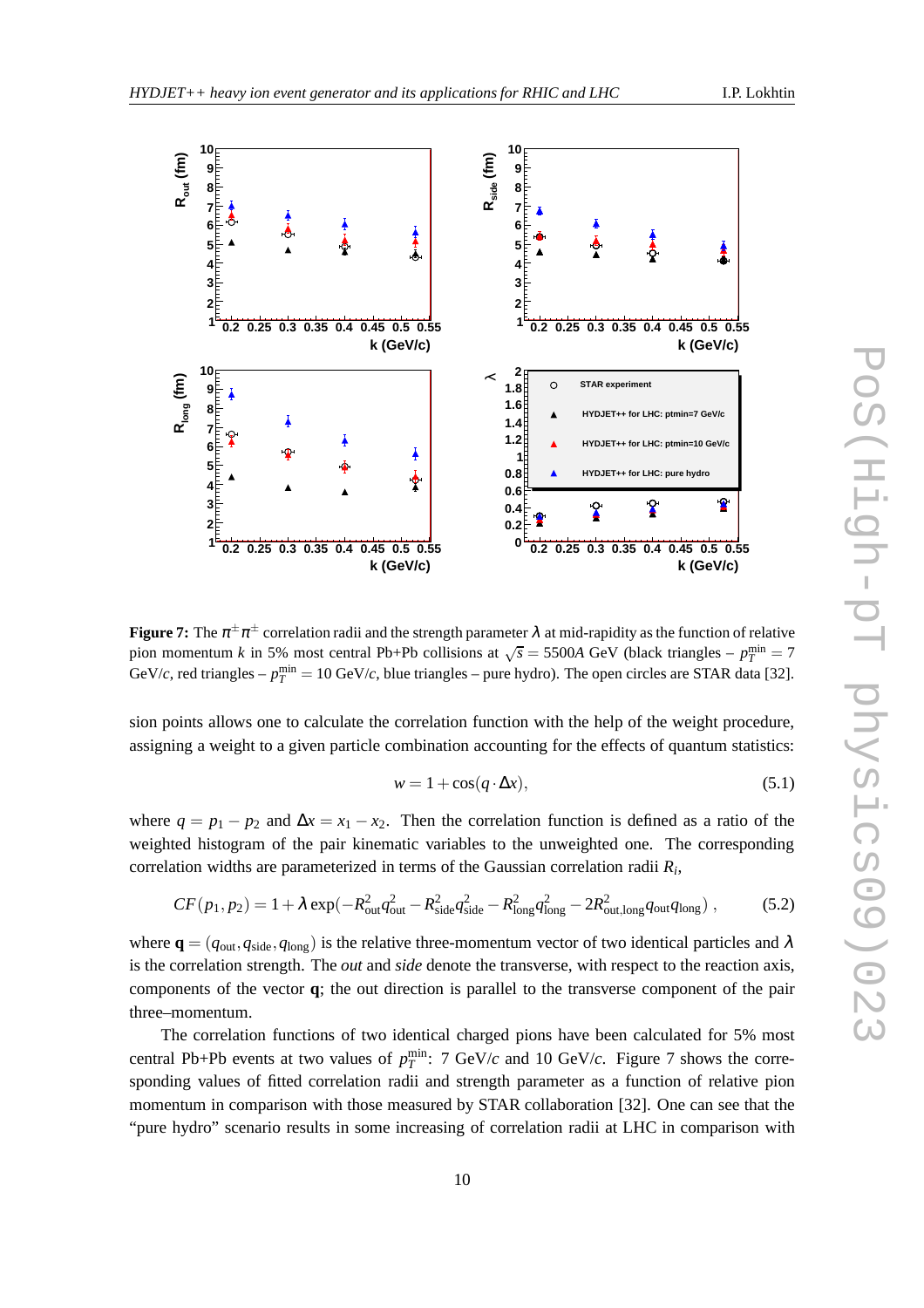

**Figure 7:** The  $\pi^{\pm}\pi^{\pm}$  correlation radii and the strength parameter  $\lambda$  at mid-rapidity as the function of relative pion momentum *k* in 5% most central Pb+Pb collisions at  $\sqrt{s} = 5500A$  GeV (black triangles –  $p_T^{\text{min}} = 7$ GeV/*c*, red triangles –  $p_T^{\text{min}} = 10 \text{ GeV}/c$ , blue triangles – pure hydro). The open circles are STAR data [32].

sion points allows one to calculate the correlation function with the help of the weight procedure, assigning a weight to a given particle combination accounting for the effects of quantum statistics:

$$
w = 1 + \cos(q \cdot \Delta x), \tag{5.1}
$$

where  $q = p_1 - p_2$  and  $\Delta x = x_1 - x_2$ . Then the correlation function is defined as a ratio of the weighted histogram of the pair kinematic variables to the unweighted one. The corresponding correlation widths are parameterized in terms of the Gaussian correlation radii *R<sup>i</sup>* ,

$$
CF(p_1, p_2) = 1 + \lambda \exp(-R_{\text{out}}^2 q_{\text{out}}^2 - R_{\text{side}}^2 q_{\text{side}}^2 - R_{\text{long}}^2 q_{\text{long}}^2 - 2R_{\text{out},\text{long}}^2 q_{\text{out}} q_{\text{long}}),
$$
 (5.2)

where  $\mathbf{q} = (q_{\text{out}}, q_{\text{side}}, q_{\text{long}})$  is the relative three-momentum vector of two identical particles and  $\lambda$ is the correlation strength. The *out* and *side* denote the transverse, with respect to the reaction axis, components of the vector **q**; the out direction is parallel to the transverse component of the pair three–momentum.

The correlation functions of two identical charged pions have been calculated for 5% most central Pb+Pb events at two values of  $p_T^{\text{min}}$ : 7 GeV/*c* and 10 GeV/*c*. Figure 7 shows the corresponding values of fitted correlation radii and strength parameter as a function of relative pion momentum in comparison with those measured by STAR collaboration [32]. One can see that the "pure hydro" scenario results in some increasing of correlation radii at LHC in comparison with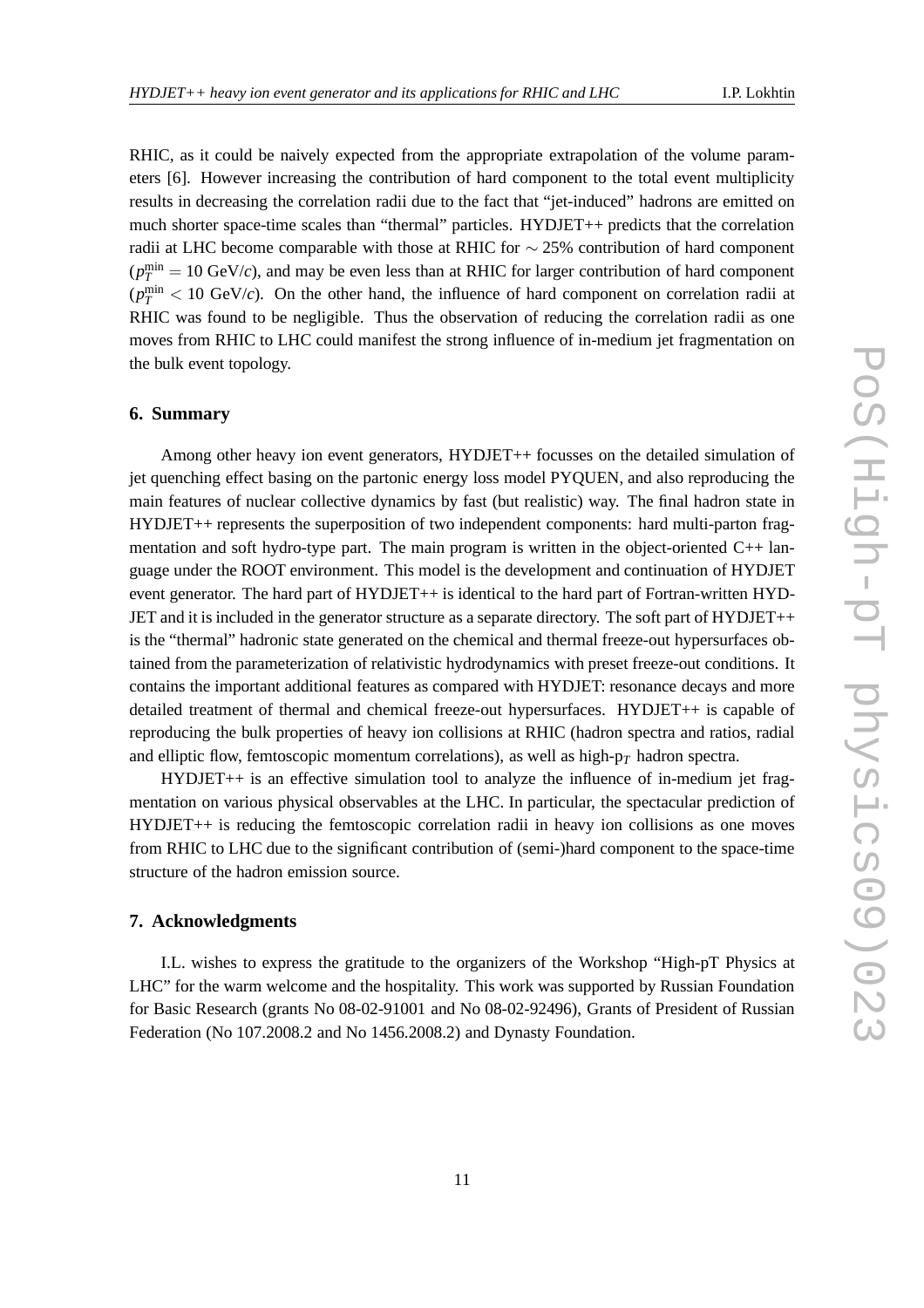RHIC, as it could be naively expected from the appropriate extrapolation of the volume parameters [6]. However increasing the contribution of hard component to the total event multiplicity results in decreasing the correlation radii due to the fact that "jet-induced" hadrons are emitted on much shorter space-time scales than "thermal" particles. HYDJET++ predicts that the correlation radii at LHC become comparable with those at RHIC for  $\sim$  25% contribution of hard component  $(p_T^{\text{min}} = 10 \text{ GeV}/c)$ , and may be even less than at RHIC for larger contribution of hard component  $(p_T^{\text{min}} < 10 \text{ GeV}/c)$ . On the other hand, the influence of hard component on correlation radii at RHIC was found to be negligible. Thus the observation of reducing the correlation radii as one moves from RHIC to LHC could manifest the strong influence of in-medium jet fragmentation on the bulk event topology.

#### **6. Summary**

Among other heavy ion event generators, HYDJET++ focusses on the detailed simulation of jet quenching effect basing on the partonic energy loss model PYQUEN, and also reproducing the main features of nuclear collective dynamics by fast (but realistic) way. The final hadron state in HYDJET++ represents the superposition of two independent components: hard multi-parton fragmentation and soft hydro-type part. The main program is written in the object-oriented C++ language under the ROOT environment. This model is the development and continuation of HYDJET event generator. The hard part of HYDJET++ is identical to the hard part of Fortran-written HYD-JET and it is included in the generator structure as a separate directory. The soft part of HYDJET++ is the "thermal" hadronic state generated on the chemical and thermal freeze-out hypersurfaces obtained from the parameterization of relativistic hydrodynamics with preset freeze-out conditions. It contains the important additional features as compared with HYDJET: resonance decays and more detailed treatment of thermal and chemical freeze-out hypersurfaces. HYDJET++ is capable of reproducing the bulk properties of heavy ion collisions at RHIC (hadron spectra and ratios, radial and elliptic flow, femtoscopic momentum correlations), as well as high- $p<sub>T</sub>$  hadron spectra.

HYDJET++ is an effective simulation tool to analyze the influence of in-medium jet fragmentation on various physical observables at the LHC. In particular, the spectacular prediction of HYDJET++ is reducing the femtoscopic correlation radii in heavy ion collisions as one moves from RHIC to LHC due to the significant contribution of (semi-)hard component to the space-time structure of the hadron emission source.

## **7. Acknowledgments**

I.L. wishes to express the gratitude to the organizers of the Workshop "High-pT Physics at LHC" for the warm welcome and the hospitality. This work was supported by Russian Foundation for Basic Research (grants No 08-02-91001 and No 08-02-92496), Grants of President of Russian Federation (No 107.2008.2 and No 1456.2008.2) and Dynasty Foundation.